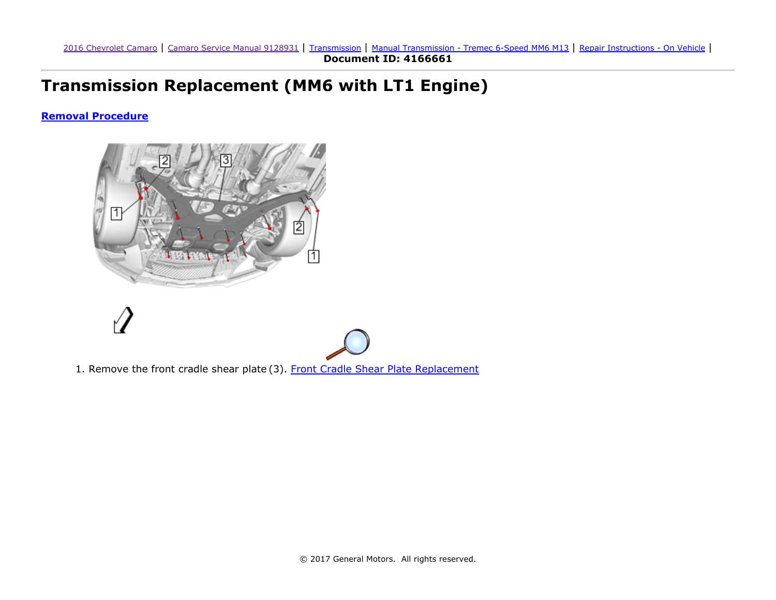## Transmission Replacement (MM6 with LT1 Engine)

## <span id="page-0-0"></span>Removal [Procedure](#page-0-0)



1. Remove the front cradle shear plate (3). Front Cradle Shear Plate [Replacement](https://gsi.ext.gm.com/gsi/cellHandler.do?cellId=268237&refDoc=4166661&from=sm)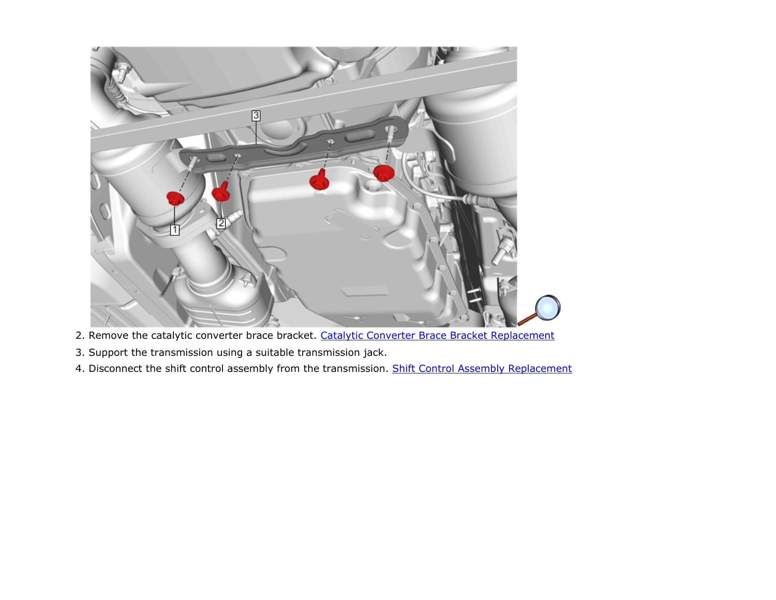

- 2. Remove the catalytic converter brace bracket. Catalytic Converter Brace Bracket [Replacement](https://gsi.ext.gm.com/gsi/cellHandler.do?cellId=264367&refDoc=4166661&from=sm)
- 3. Support the transmission using a suitable transmission jack.
- 4. Disconnect the shift control assembly from the transmission. Shift Control Assembly [Replacement](https://gsi.ext.gm.com/gsi/cellHandler.do?cellId=54063&refDoc=4166661&from=sm)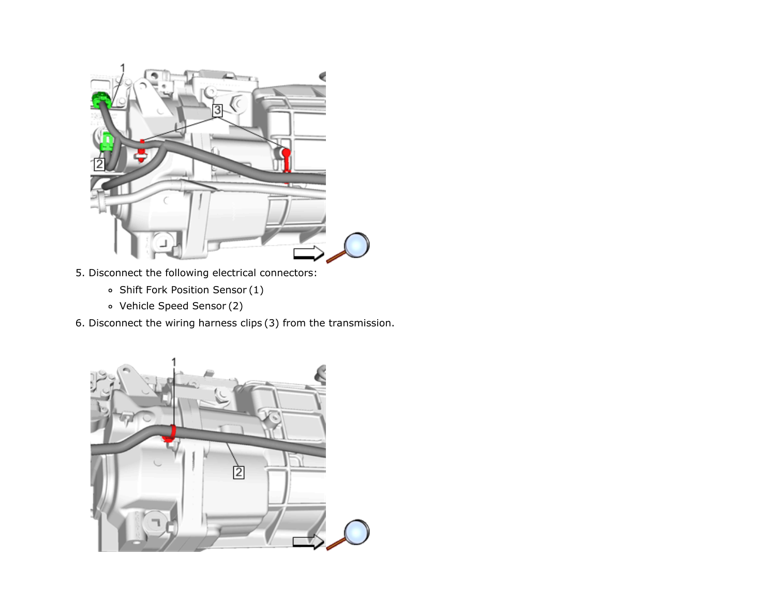

- 5. Disconnect the following electrical connectors:
	- Shift Fork Position Sensor (1)
	- Vehicle Speed Sensor (2)
- 6. Disconnect the wiring harness clips (3) from the transmission.

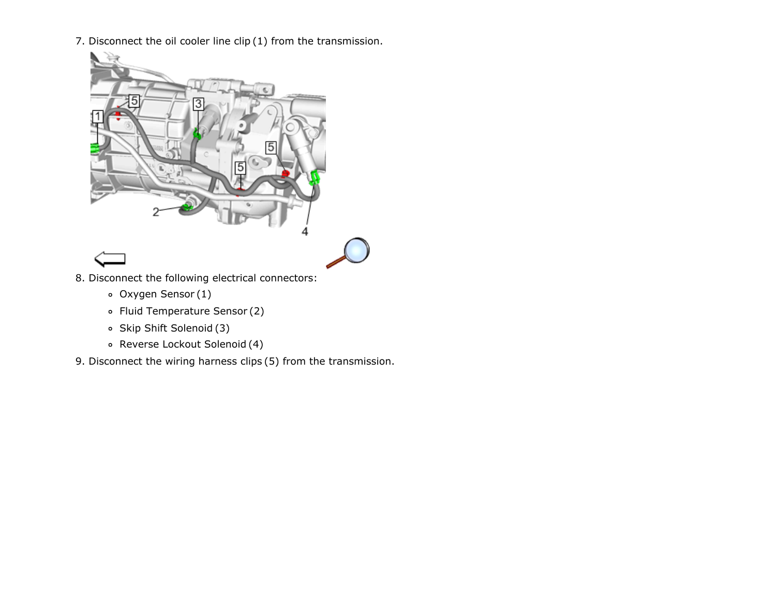7. Disconnect the oil cooler line clip (1) from the transmission.



- 8. Disconnect the following electrical connectors:
	- Oxygen Sensor (1)
	- Fluid Temperature Sensor (2)
	- Skip Shift Solenoid (3)
	- Reverse Lockout Solenoid (4)
- 9. Disconnect the wiring harness clips (5) from the transmission.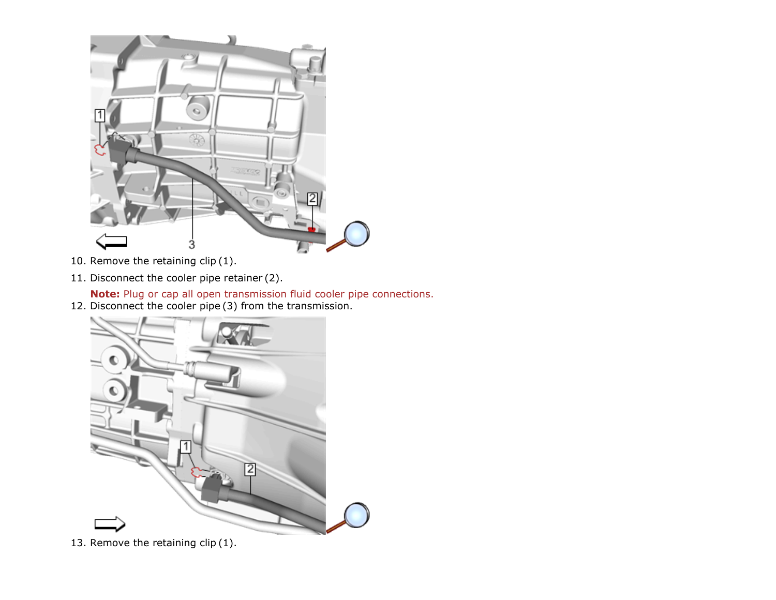

- 10. Remove the retaining clip (1).
- 11. Disconnect the cooler pipe retainer (2).

Note: Plug or cap all open transmission fluid cooler pipe connections.

12. Disconnect the cooler pipe (3) from the transmission.



13. Remove the retaining clip (1).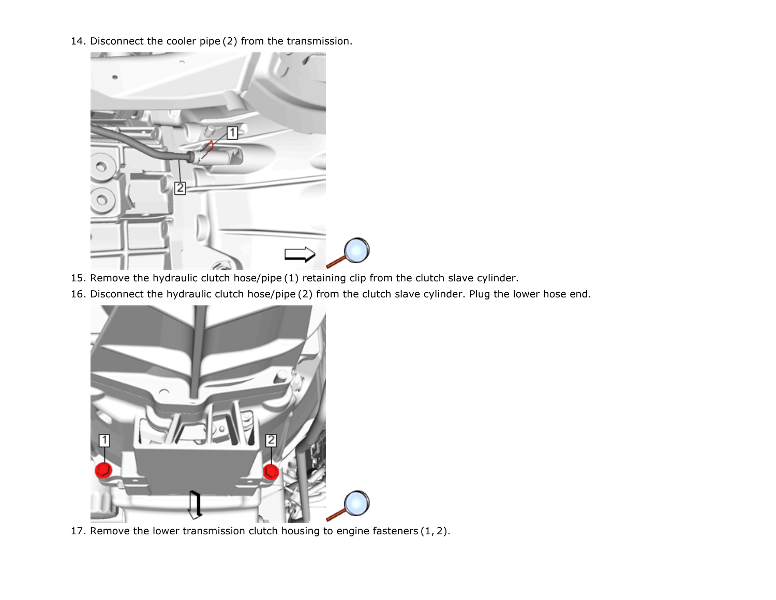14. Disconnect the cooler pipe (2) from the transmission.



- 15. Remove the hydraulic clutch hose/pipe (1) retaining clip from the clutch slave cylinder.
- 16. Disconnect the hydraulic clutch hose/pipe (2) from the clutch slave cylinder. Plug the lower hose end.



17. Remove the lower transmission clutch housing to engine fasteners (1, 2).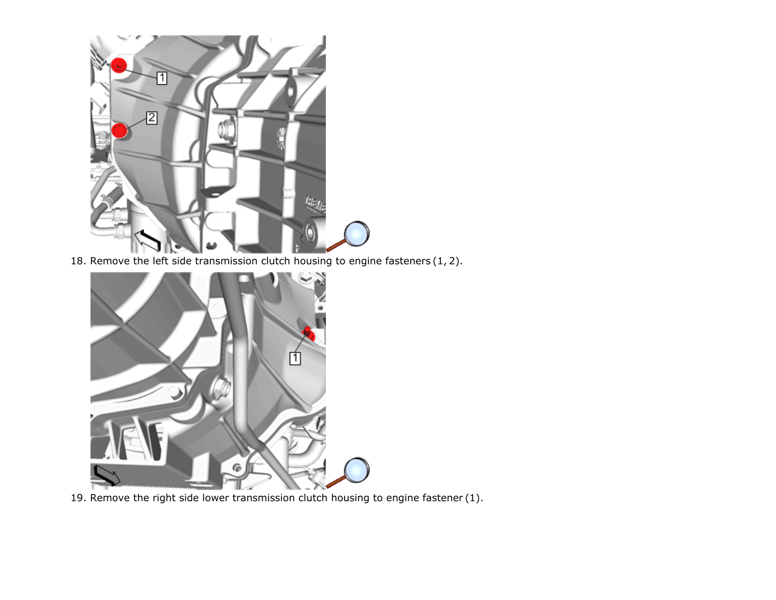

18. Remove the left side transmission clutch housing to engine fasteners (1, 2).



19. Remove the right side lower transmission clutch housing to engine fastener (1).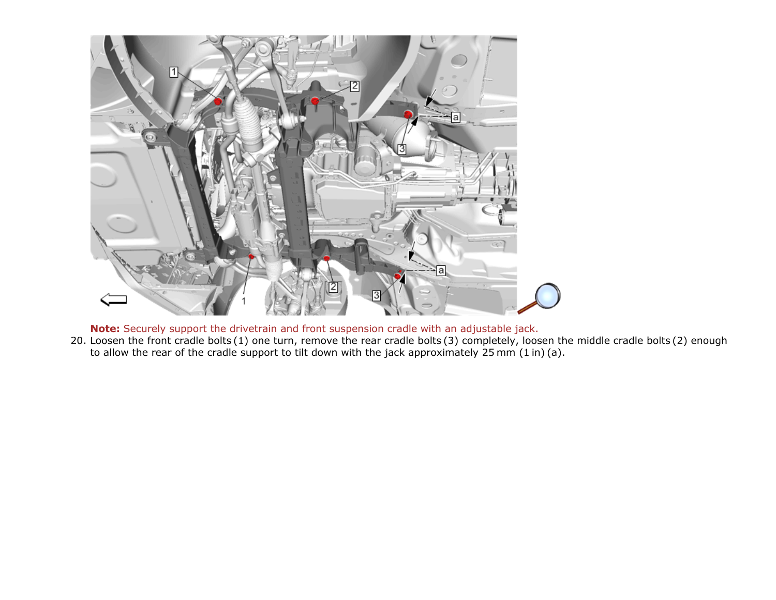

Note: Securely support the drivetrain and front suspension cradle with an adjustable jack.

20. Loosen the front cradle bolts (1) one turn, remove the rear cradle bolts (3) completely, loosen the middle cradle bolts (2) enough to allow the rear of the cradle support to tilt down with the jack approximately 25 mm (1 in) (a).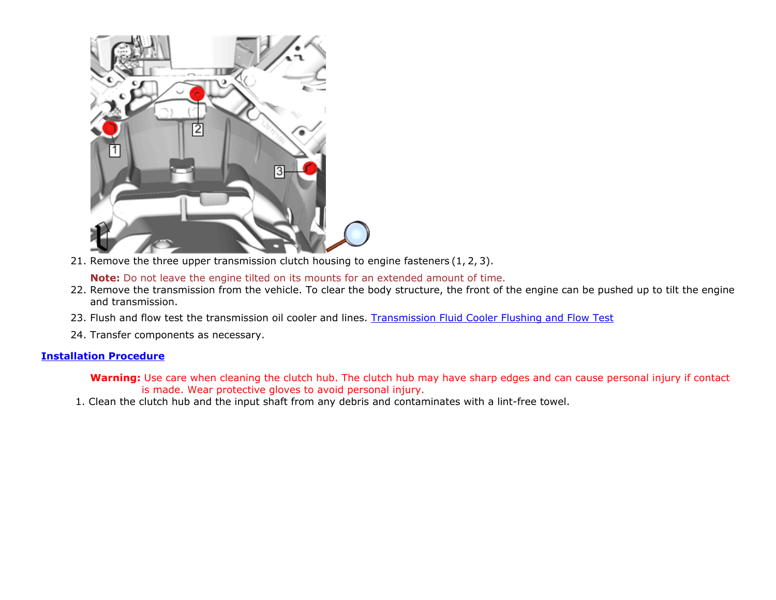

21. Remove the three upper transmission clutch housing to engine fasteners (1, 2, 3).

Note: Do not leave the engine tilted on its mounts for an extended amount of time.

- 22. Remove the transmission from the vehicle. To clear the body structure, the front of the engine can be pushed up to tilt the engine and transmission.
- 23. Flush and flow test the transmission oil cooler and lines. [Transmission](https://gsi.ext.gm.com/gsi/cellHandler.do?cellId=225368&refDoc=4166661&from=sm) Fluid Cooler Flushing and Flow Test
- 24. Transfer components as necessary.

## <span id="page-8-0"></span>[Installation](#page-8-0) Procedure

Warning: Use care when cleaning the clutch hub. The clutch hub may have sharp edges and can cause personal injury if contact is made. Wear protective gloves to avoid personal injury.

1. Clean the clutch hub and the input shaft from any debris and contaminates with a lint-free towel.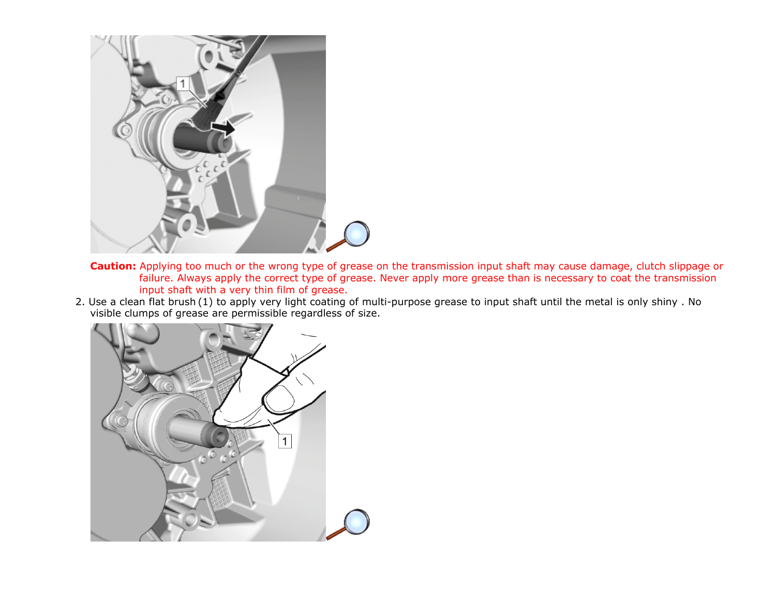

- Caution: Applying too much or the wrong type of grease on the transmission input shaft may cause damage, clutch slippage or failure. Always apply the correct type of grease. Never apply more grease than is necessary to coat the transmission input shaft with a very thin film of grease.
- 2. Use a clean flat brush (1) to apply very light coating of multi-purpose grease to input shaft until the metal is only shiny . No visible clumps of grease are permissible regardless of size.

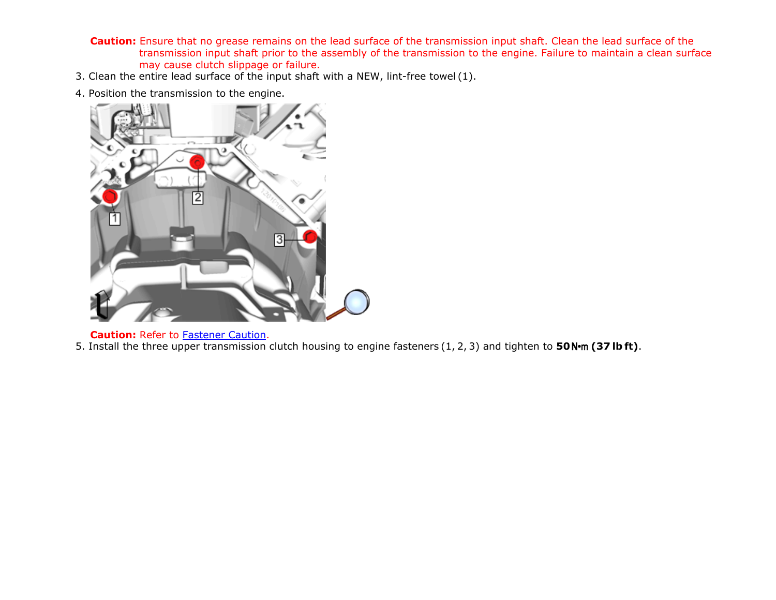- Caution: Ensure that no grease remains on the lead surface of the transmission input shaft. Clean the lead surface of the transmission input shaft prior to the assembly of the transmission to the engine. Failure to maintain a clean surface may cause clutch slippage or failure.
- 3. Clean the entire lead surface of the input shaft with a NEW, lint-free towel (1).
- 4. Position the transmission to the engine.



**Caution: Refer to [Fastener](https://gsi.ext.gm.com/gsi/cellHandler.do?cellId=178169&refDoc=4166661&from=sm) Caution.** 

5. Install the three upper transmission clutch housing to engine fasteners (1, 2, 3) and tighten to 50N $m$  (37 lb ft).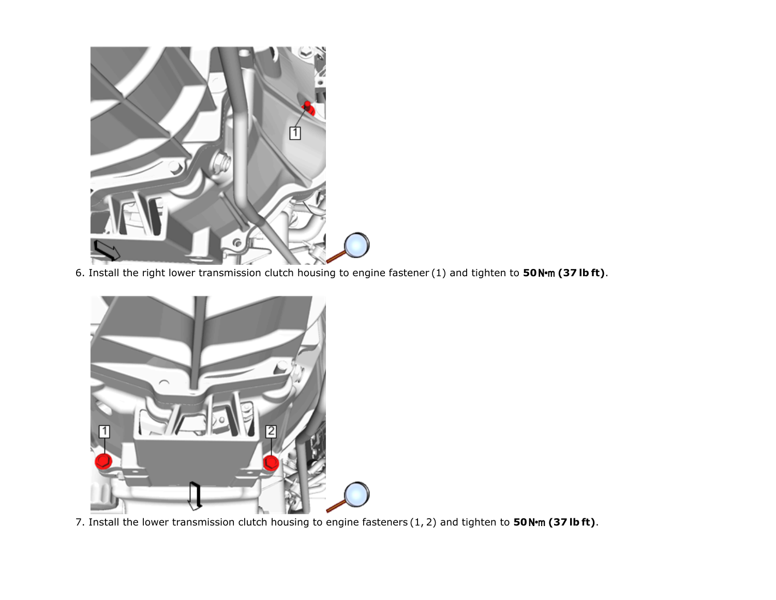

6. Install the right lower transmission clutch housing to engine fastener (1) and tighten to 50N $\cdot$ m (37 lb ft).



7. Install the lower transmission clutch housing to engine fasteners  $(1, 2)$  and tighten to 50N·m (37 lb ft).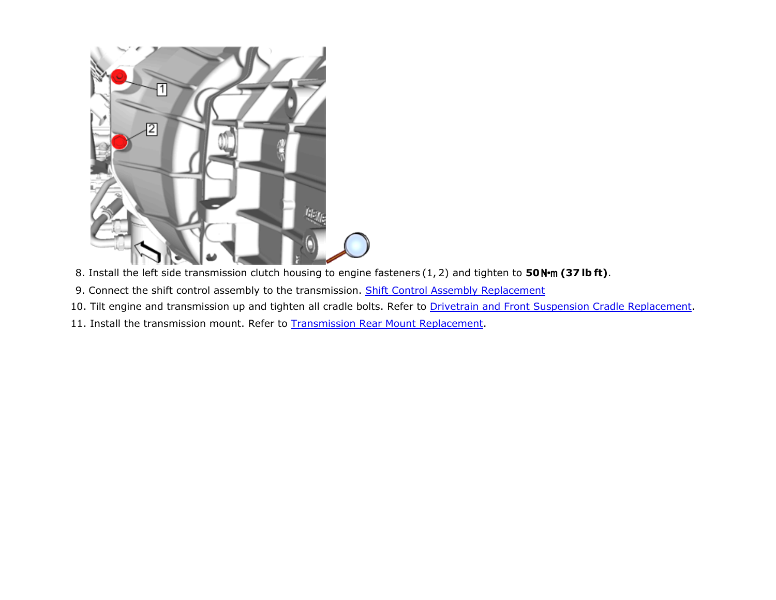

- 8. Install the left side transmission clutch housing to engine fasteners  $(1, 2)$  and tighten to 50N·m (37 lb ft).
- 9. Connect the shift control assembly to the transmission. Shift Control Assembly [Replacement](https://gsi.ext.gm.com/gsi/cellHandler.do?cellId=54063&refDoc=4166661&from=sm)
- 10. Tilt engine and transmission up and tighten all cradle bolts. Refer to Drivetrain and Front Suspension Cradle [Replacement.](https://gsi.ext.gm.com/gsi/cellHandler.do?cellId=257460&refDoc=4166661&from=sm)
- 11. Install the transmission mount. Refer to **[Transmission](https://gsi.ext.gm.com/gsi/cellHandler.do?cellId=131524&refDoc=4166661&from=sm) Rear Mount Replacement**.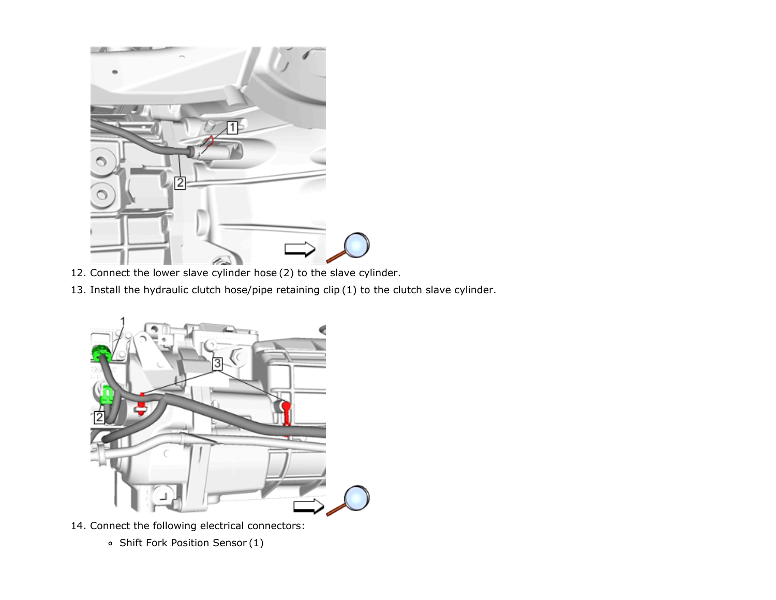

- 12. Connect the lower slave cylinder hose (2) to the slave cylinder.
- 13. Install the hydraulic clutch hose/pipe retaining clip (1) to the clutch slave cylinder.



- 14. Connect the following electrical connectors:
	- Shift Fork Position Sensor (1)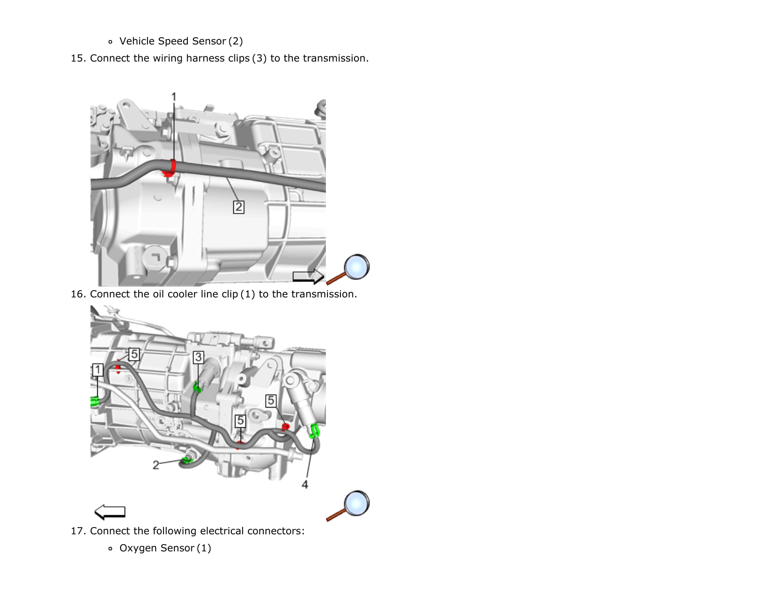- Vehicle Speed Sensor (2)
- 15. Connect the wiring harness clips (3) to the transmission.



16. Connect the oil cooler line clip (1) to the transmission.



17. Connect the following electrical connectors:

Oxygen Sensor (1)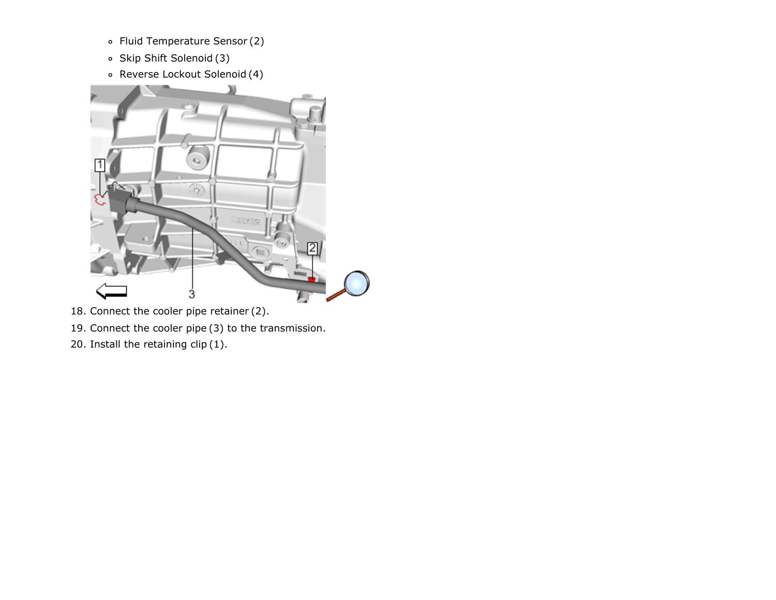- Fluid Temperature Sensor (2)
- Skip Shift Solenoid (3)
- Reverse Lockout Solenoid (4)



- 18. Connect the cooler pipe retainer (2).
- 19. Connect the cooler pipe (3) to the transmission.
- 20. Install the retaining clip (1).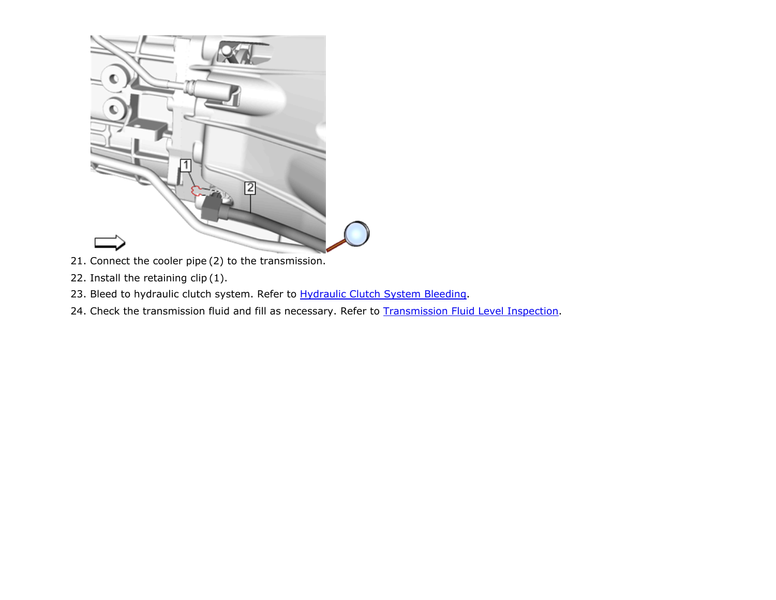

- 21. Connect the cooler pipe (2) to the transmission.
- 22. Install the retaining clip (1).
- 23. Bleed to hydraulic clutch system. Refer to **[Hydraulic](https://gsi.ext.gm.com/gsi/cellHandler.do?cellId=10489&refDoc=4166661&from=sm) Clutch System Bleeding**.
- 24. Check the transmission fluid and fill as necessary. Refer to **[Transmission](https://gsi.ext.gm.com/gsi/cellHandler.do?cellId=54062&refDoc=4166661&from=sm) Fluid Level Inspection**.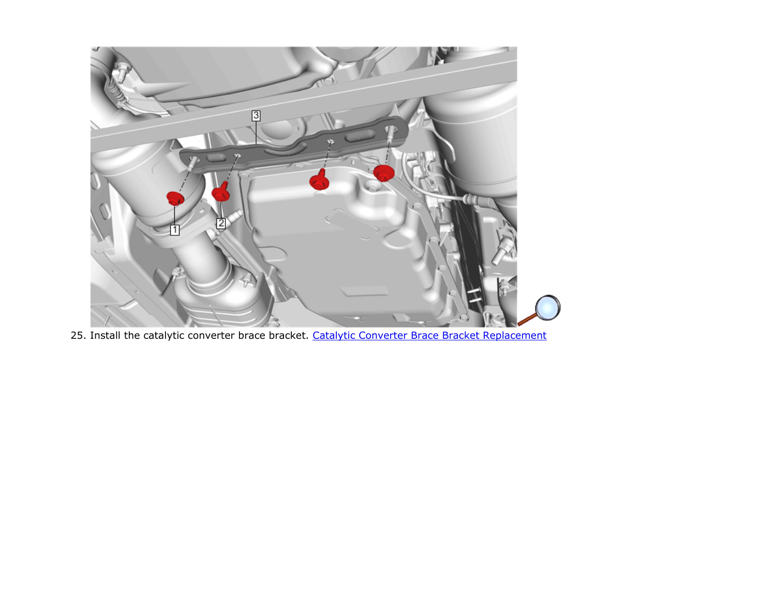

25. Install the catalytic converter brace bracket. Catalytic Converter Brace Bracket [Replacement](https://gsi.ext.gm.com/gsi/cellHandler.do?cellId=264367&refDoc=4166661&from=sm)